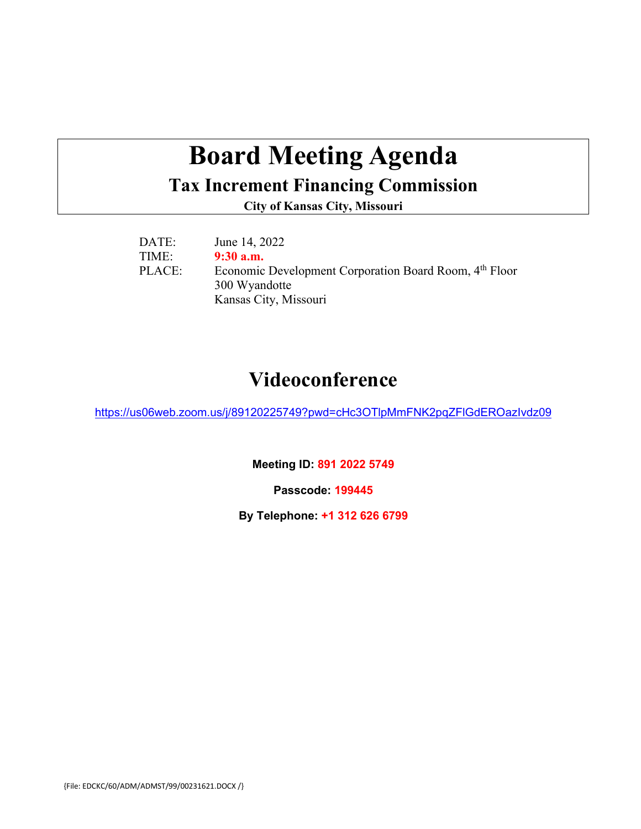# **Board Meeting Agenda Tax Increment Financing Commission**

**City of Kansas City, Missouri**

| DATE:  | June 14, 2022                                                      |
|--------|--------------------------------------------------------------------|
| TIME:  | $9:30$ a.m.                                                        |
| PLACE: | Economic Development Corporation Board Room, 4 <sup>th</sup> Floor |
|        | 300 Wyandotte                                                      |
|        | Kansas City, Missouri                                              |

## **Videoconference**

<https://us06web.zoom.us/j/89120225749?pwd=cHc3OTlpMmFNK2pqZFlGdEROazIvdz09>

**Meeting ID: 891 2022 5749**

**Passcode: 199445**

**By Telephone: +1 312 626 6799**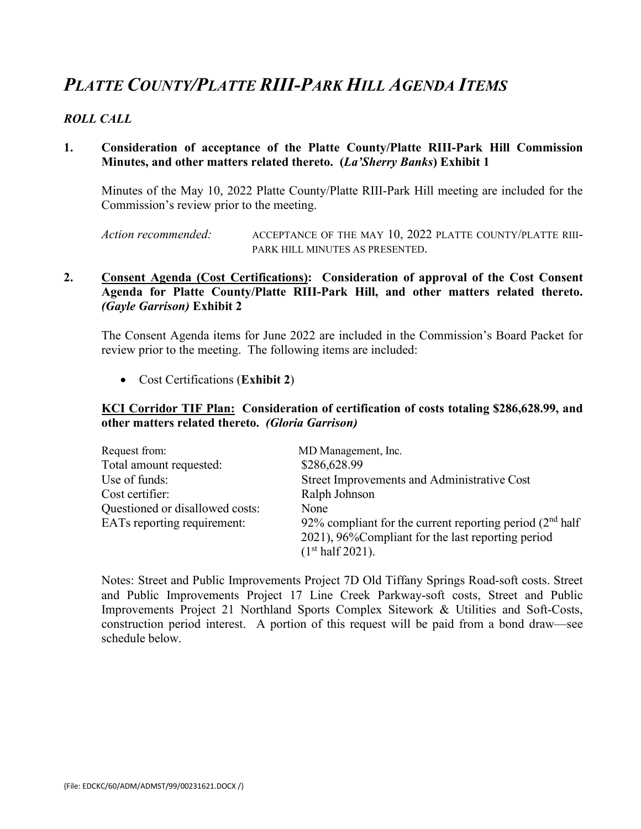## *PLATTE COUNTY/PLATTE RIII-PARK HILL AGENDA ITEMS*

### *ROLL CALL*

### **1. Consideration of acceptance of the Platte County/Platte RIII-Park Hill Commission Minutes, and other matters related thereto. (***La'Sherry Banks***) Exhibit 1**

Minutes of the May 10, 2022 Platte County/Platte RIII-Park Hill meeting are included for the Commission's review prior to the meeting.

*Action recommended:* ACCEPTANCE OF THE MAY 10, 2022 PLATTE COUNTY/PLATTE RIII-PARK HILL MINUTES AS PRESENTED.

### **2. Consent Agenda (Cost Certifications): Consideration of approval of the Cost Consent Agenda for Platte County/Platte RIII-Park Hill, and other matters related thereto.**  *(Gayle Garrison)* **Exhibit 2**

The Consent Agenda items for June 2022 are included in the Commission's Board Packet for review prior to the meeting. The following items are included:

• Cost Certifications (**Exhibit 2**)

### **KCI Corridor TIF Plan: Consideration of certification of costs totaling \$286,628.99, and other matters related thereto.** *(Gloria Garrison)*

| Request from:                   | MD Management, Inc.                                         |
|---------------------------------|-------------------------------------------------------------|
| Total amount requested:         | \$286,628.99                                                |
| Use of funds:                   | Street Improvements and Administrative Cost                 |
| Cost certifier:                 | Ralph Johnson                                               |
| Questioned or disallowed costs: | None                                                        |
| EATs reporting requirement:     | 92% compliant for the current reporting period $(2nd half)$ |
|                                 | 2021), 96% Compliant for the last reporting period          |
|                                 | (1 <sup>st</sup> half 2021).                                |

Notes: Street and Public Improvements Project 7D Old Tiffany Springs Road-soft costs. Street and Public Improvements Project 17 Line Creek Parkway-soft costs, Street and Public Improvements Project 21 Northland Sports Complex Sitework & Utilities and Soft-Costs, construction period interest. A portion of this request will be paid from a bond draw—see schedule below.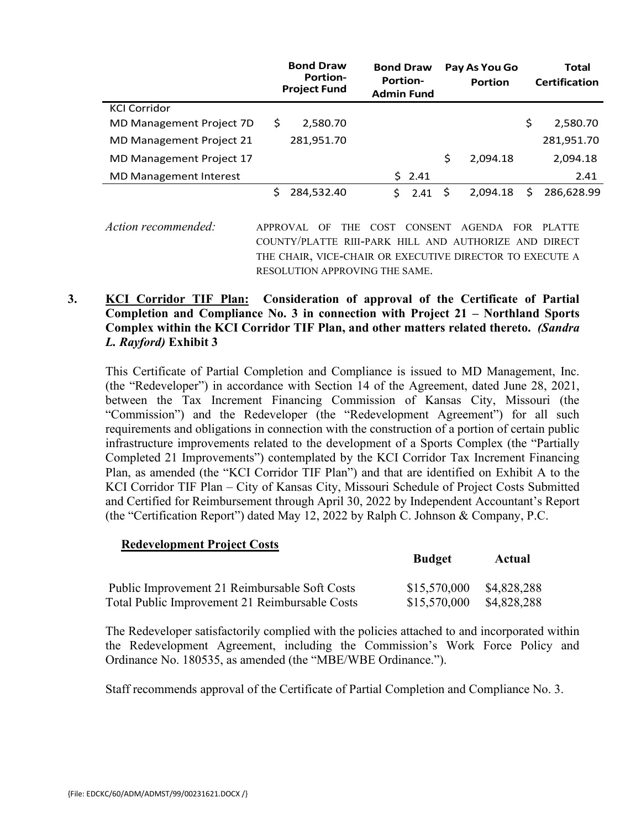|                               | <b>Bond Draw</b><br><b>Portion-</b><br><b>Project Fund</b> | <b>Bond Draw</b><br><b>Portion-</b><br><b>Admin Fund</b> | Pay As You Go<br><b>Portion</b> | <b>Total</b><br><b>Certification</b> |
|-------------------------------|------------------------------------------------------------|----------------------------------------------------------|---------------------------------|--------------------------------------|
| <b>KCI Corridor</b>           |                                                            |                                                          |                                 |                                      |
| MD Management Project 7D      | S<br>2,580.70                                              |                                                          |                                 | \$.<br>2,580.70                      |
| MD Management Project 21      | 281,951.70                                                 |                                                          |                                 | 281,951.70                           |
| MD Management Project 17      |                                                            |                                                          | S<br>2,094.18                   | 2,094.18                             |
| <b>MD Management Interest</b> |                                                            | 52.41                                                    |                                 | 2.41                                 |
|                               | 284,532.40                                                 | 2.41                                                     | 2.094.18                        | 286,628.99<br>S                      |

*Action recommended:* APPROVAL OF THE COST CONSENT AGENDA FOR PLATTE COUNTY/PLATTE RIII-PARK HILL AND AUTHORIZE AND DIRECT THE CHAIR, VICE-CHAIR OR EXECUTIVE DIRECTOR TO EXECUTE A RESOLUTION APPROVING THE SAME.

### **3. KCI Corridor TIF Plan: Consideration of approval of the Certificate of Partial Completion and Compliance No. 3 in connection with Project 21 – Northland Sports Complex within the KCI Corridor TIF Plan, and other matters related thereto.** *(Sandra L. Rayford)* **Exhibit 3**

This Certificate of Partial Completion and Compliance is issued to MD Management, Inc. (the "Redeveloper") in accordance with Section 14 of the Agreement, dated June 28, 2021, between the Tax Increment Financing Commission of Kansas City, Missouri (the "Commission") and the Redeveloper (the "Redevelopment Agreement") for all such requirements and obligations in connection with the construction of a portion of certain public infrastructure improvements related to the development of a Sports Complex (the "Partially Completed 21 Improvements") contemplated by the KCI Corridor Tax Increment Financing Plan, as amended (the "KCI Corridor TIF Plan") and that are identified on Exhibit A to the KCI Corridor TIF Plan – City of Kansas City, Missouri Schedule of Project Costs Submitted and Certified for Reimbursement through April 30, 2022 by Independent Accountant's Report (the "Certification Report") dated May 12, 2022 by Ralph C. Johnson & Company, P.C.

#### **Redevelopment Project Costs**

|                                                | <b>Budget</b> | Actual      |
|------------------------------------------------|---------------|-------------|
| Public Improvement 21 Reimbursable Soft Costs  | \$15,570,000  | \$4,828,288 |
| Total Public Improvement 21 Reimbursable Costs | \$15,570,000  | \$4,828,288 |

The Redeveloper satisfactorily complied with the policies attached to and incorporated within the Redevelopment Agreement, including the Commission's Work Force Policy and Ordinance No. 180535, as amended (the "MBE/WBE Ordinance.").

Staff recommends approval of the Certificate of Partial Completion and Compliance No. 3.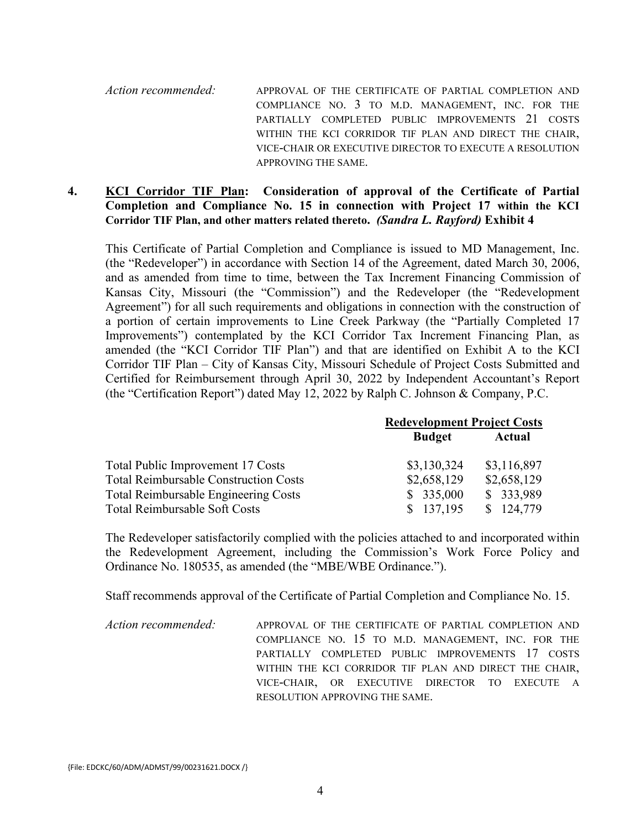*Action recommended:* APPROVAL OF THE CERTIFICATE OF PARTIAL COMPLETION AND COMPLIANCE NO. 3 TO M.D. MANAGEMENT, INC. FOR THE PARTIALLY COMPLETED PUBLIC IMPROVEMENTS 21 COSTS WITHIN THE KCI CORRIDOR TIF PLAN AND DIRECT THE CHAIR, VICE-CHAIR OR EXECUTIVE DIRECTOR TO EXECUTE A RESOLUTION APPROVING THE SAME.

### **4. KCI Corridor TIF Plan: Consideration of approval of the Certificate of Partial Completion and Compliance No. 15 in connection with Project 17 within the KCI Corridor TIF Plan, and other matters related thereto.** *(Sandra L. Rayford)* **Exhibit 4**

This Certificate of Partial Completion and Compliance is issued to MD Management, Inc. (the "Redeveloper") in accordance with Section 14 of the Agreement, dated March 30, 2006, and as amended from time to time, between the Tax Increment Financing Commission of Kansas City, Missouri (the "Commission") and the Redeveloper (the "Redevelopment Agreement") for all such requirements and obligations in connection with the construction of a portion of certain improvements to Line Creek Parkway (the "Partially Completed 17 Improvements") contemplated by the KCI Corridor Tax Increment Financing Plan, as amended (the "KCI Corridor TIF Plan") and that are identified on Exhibit A to the KCI Corridor TIF Plan – City of Kansas City, Missouri Schedule of Project Costs Submitted and Certified for Reimbursement through April 30, 2022 by Independent Accountant's Report (the "Certification Report") dated May 12, 2022 by Ralph C. Johnson & Company, P.C.

|                                              | <b>Redevelopment Project Costs</b> |               |
|----------------------------------------------|------------------------------------|---------------|
|                                              | <b>Budget</b>                      | <b>Actual</b> |
| Total Public Improvement 17 Costs            | \$3,130,324                        | \$3,116,897   |
| <b>Total Reimbursable Construction Costs</b> | \$2,658,129                        | \$2,658,129   |
| <b>Total Reimbursable Engineering Costs</b>  | \$335,000                          | \$333,989     |
| <b>Total Reimbursable Soft Costs</b>         | 137,195<br>S.                      | 124,779       |

The Redeveloper satisfactorily complied with the policies attached to and incorporated within the Redevelopment Agreement, including the Commission's Work Force Policy and Ordinance No. 180535, as amended (the "MBE/WBE Ordinance.").

Staff recommends approval of the Certificate of Partial Completion and Compliance No. 15.

*Action recommended:* APPROVAL OF THE CERTIFICATE OF PARTIAL COMPLETION AND COMPLIANCE NO. 15 TO M.D. MANAGEMENT, INC. FOR THE PARTIALLY COMPLETED PUBLIC IMPROVEMENTS 17 COSTS WITHIN THE KCI CORRIDOR TIF PLAN AND DIRECT THE CHAIR, VICE-CHAIR, OR EXECUTIVE DIRECTOR TO EXECUTE A RESOLUTION APPROVING THE SAME.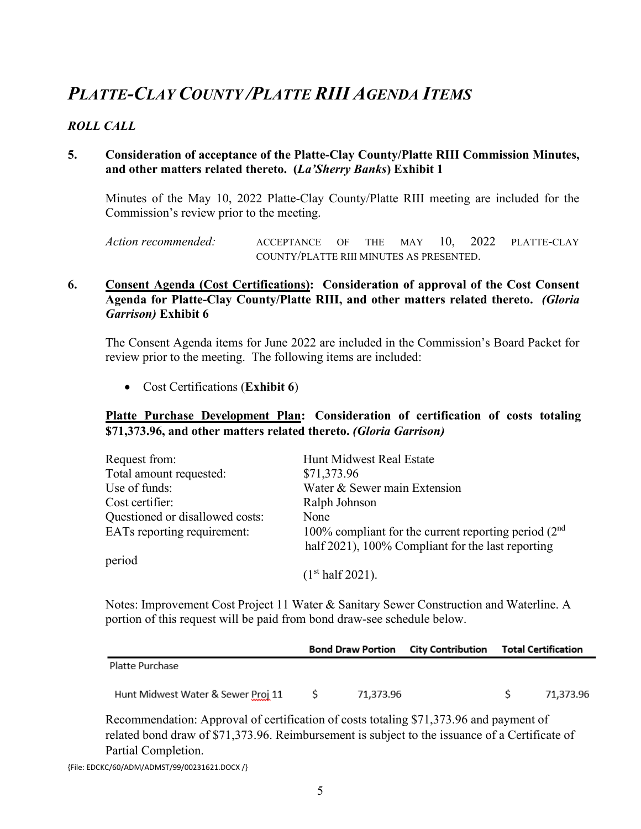## *PLATTE-CLAY COUNTY /PLATTE RIII AGENDA ITEMS*

### *ROLL CALL*

### **5. Consideration of acceptance of the Platte-Clay County/Platte RIII Commission Minutes, and other matters related thereto. (***La'Sherry Banks***) Exhibit 1**

Minutes of the May 10, 2022 Platte-Clay County/Platte RIII meeting are included for the Commission's review prior to the meeting.

*Action recommended:* ACCEPTANCE OF THE MAY 10, 2022 PLATTE-CLAY COUNTY/PLATTE RIII MINUTES AS PRESENTED.

### **6. Consent Agenda (Cost Certifications): Consideration of approval of the Cost Consent Agenda for Platte-Clay County/Platte RIII, and other matters related thereto.** *(Gloria Garrison)* **Exhibit 6**

The Consent Agenda items for June 2022 are included in the Commission's Board Packet for review prior to the meeting. The following items are included:

• Cost Certifications (**Exhibit 6**)

### **Platte Purchase Development Plan: Consideration of certification of costs totaling \$71,373.96, and other matters related thereto.** *(Gloria Garrison)*

| Request from:                   | Hunt Midwest Real Estate                               |
|---------------------------------|--------------------------------------------------------|
| Total amount requested:         | \$71,373.96                                            |
| Use of funds:                   | Water & Sewer main Extension                           |
| Cost certifier:                 | Ralph Johnson                                          |
| Questioned or disallowed costs: | None                                                   |
| EATs reporting requirement:     | 100% compliant for the current reporting period $(2nd$ |
|                                 | half 2021), 100% Compliant for the last reporting      |
| period                          |                                                        |
|                                 | (1 <sup>st</sup> half 2021).                           |

Notes: Improvement Cost Project 11 Water & Sanitary Sewer Construction and Waterline. A portion of this request will be paid from bond draw-see schedule below.

|                                    |    |           | Bond Draw Portion City Contribution Total Certification |           |
|------------------------------------|----|-----------|---------------------------------------------------------|-----------|
| Platte Purchase                    |    |           |                                                         |           |
| Hunt Midwest Water & Sewer Proj 11 | -S | 71,373.96 |                                                         | 71,373.96 |

Recommendation: Approval of certification of costs totaling \$71,373.96 and payment of related bond draw of \$71,373.96. Reimbursement is subject to the issuance of a Certificate of Partial Completion.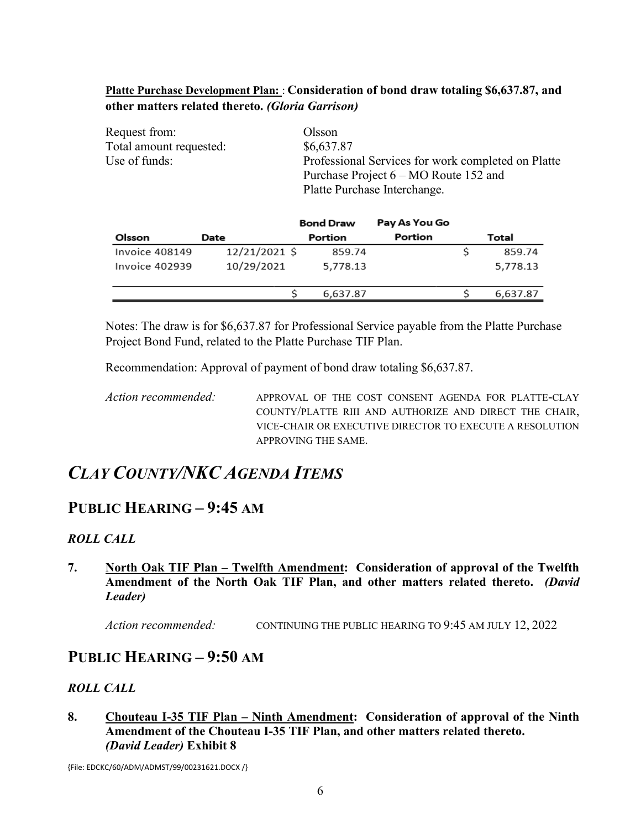### **Platte Purchase Development Plan:** : **Consideration of bond draw totaling \$6,637.87, and other matters related thereto.** *(Gloria Garrison)*

| Request from:           | Olsson                                             |
|-------------------------|----------------------------------------------------|
| Total amount requested: | \$6,637.87                                         |
| Use of funds:           | Professional Services for work completed on Platte |
|                         | Purchase Project $6 - MO$ Route 152 and            |
|                         | Platte Purchase Interchange.                       |

|                |               | <b>Bond Draw</b> | Pay As You Go |          |
|----------------|---------------|------------------|---------------|----------|
| Olsson         | Date          | Portion          | Portion       | Total    |
| Invoice 408149 | 12/21/2021 \$ | 859.74           |               | 859.74   |
| Invoice 402939 | 10/29/2021    | 5,778.13         |               | 5,778.13 |
|                |               | 6.637.87         |               | 6.637.87 |

Notes: The draw is for \$6,637.87 for Professional Service payable from the Platte Purchase Project Bond Fund, related to the Platte Purchase TIF Plan.

Recommendation: Approval of payment of bond draw totaling \$6,637.87.

*Action recommended:* APPROVAL OF THE COST CONSENT AGENDA FOR PLATTE-CLAY COUNTY/PLATTE RIII AND AUTHORIZE AND DIRECT THE CHAIR, VICE-CHAIR OR EXECUTIVE DIRECTOR TO EXECUTE A RESOLUTION APPROVING THE SAME.

## *CLAY COUNTY/NKC AGENDA ITEMS*

### **PUBLIC HEARING – 9:45 AM**

### *ROLL CALL*

**7. North Oak TIF Plan – Twelfth Amendment: Consideration of approval of the Twelfth Amendment of the North Oak TIF Plan, and other matters related thereto.** *(David Leader)*

Action recommended: CONTINUING THE PUBLIC HEARING TO 9:45 AM JULY 12, 2022

### **PUBLIC HEARING – 9:50 AM**

### *ROLL CALL*

**8. Chouteau I-35 TIF Plan – Ninth Amendment: Consideration of approval of the Ninth Amendment of the Chouteau I-35 TIF Plan, and other matters related thereto.**  *(David Leader)* **Exhibit 8**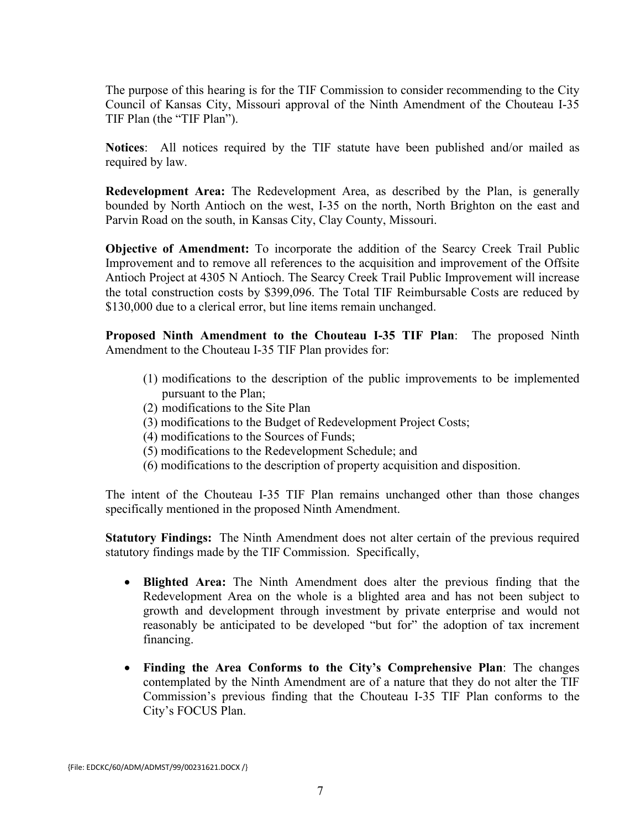The purpose of this hearing is for the TIF Commission to consider recommending to the City Council of Kansas City, Missouri approval of the Ninth Amendment of the Chouteau I-35 TIF Plan (the "TIF Plan").

**Notices**: All notices required by the TIF statute have been published and/or mailed as required by law.

**Redevelopment Area:** The Redevelopment Area, as described by the Plan, is generally bounded by North Antioch on the west, I-35 on the north, North Brighton on the east and Parvin Road on the south, in Kansas City, Clay County, Missouri.

**Objective of Amendment:** To incorporate the addition of the Searcy Creek Trail Public Improvement and to remove all references to the acquisition and improvement of the Offsite Antioch Project at 4305 N Antioch. The Searcy Creek Trail Public Improvement will increase the total construction costs by \$399,096. The Total TIF Reimbursable Costs are reduced by \$130,000 due to a clerical error, but line items remain unchanged.

**Proposed Ninth Amendment to the Chouteau I-35 TIF Plan**: The proposed Ninth Amendment to the Chouteau I-35 TIF Plan provides for:

- (1) modifications to the description of the public improvements to be implemented pursuant to the Plan;
- (2) modifications to the Site Plan
- (3) modifications to the Budget of Redevelopment Project Costs;
- (4) modifications to the Sources of Funds;
- (5) modifications to the Redevelopment Schedule; and
- (6) modifications to the description of property acquisition and disposition.

The intent of the Chouteau I-35 TIF Plan remains unchanged other than those changes specifically mentioned in the proposed Ninth Amendment.

**Statutory Findings:** The Ninth Amendment does not alter certain of the previous required statutory findings made by the TIF Commission. Specifically,

- **Blighted Area:** The Ninth Amendment does alter the previous finding that the Redevelopment Area on the whole is a blighted area and has not been subject to growth and development through investment by private enterprise and would not reasonably be anticipated to be developed "but for" the adoption of tax increment financing.
- **Finding the Area Conforms to the City's Comprehensive Plan**: The changes contemplated by the Ninth Amendment are of a nature that they do not alter the TIF Commission's previous finding that the Chouteau I-35 TIF Plan conforms to the City's FOCUS Plan.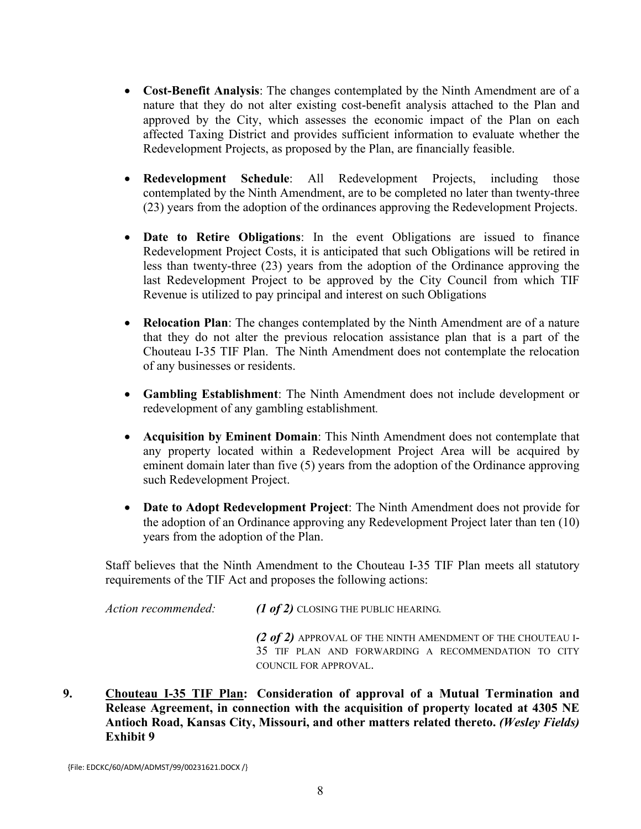- **Cost-Benefit Analysis**: The changes contemplated by the Ninth Amendment are of a nature that they do not alter existing cost-benefit analysis attached to the Plan and approved by the City, which assesses the economic impact of the Plan on each affected Taxing District and provides sufficient information to evaluate whether the Redevelopment Projects, as proposed by the Plan, are financially feasible.
- **Redevelopment Schedule**: All Redevelopment Projects, including those contemplated by the Ninth Amendment, are to be completed no later than twenty-three (23) years from the adoption of the ordinances approving the Redevelopment Projects.
- **Date to Retire Obligations**: In the event Obligations are issued to finance Redevelopment Project Costs, it is anticipated that such Obligations will be retired in less than twenty-three (23) years from the adoption of the Ordinance approving the last Redevelopment Project to be approved by the City Council from which TIF Revenue is utilized to pay principal and interest on such Obligations
- **Relocation Plan**: The changes contemplated by the Ninth Amendment are of a nature that they do not alter the previous relocation assistance plan that is a part of the Chouteau I-35 TIF Plan. The Ninth Amendment does not contemplate the relocation of any businesses or residents.
- **Gambling Establishment**: The Ninth Amendment does not include development or redevelopment of any gambling establishment*.*
- **Acquisition by Eminent Domain**: This Ninth Amendment does not contemplate that any property located within a Redevelopment Project Area will be acquired by eminent domain later than five (5) years from the adoption of the Ordinance approving such Redevelopment Project.
- **Date to Adopt Redevelopment Project**: The Ninth Amendment does not provide for the adoption of an Ordinance approving any Redevelopment Project later than ten (10) years from the adoption of the Plan.

Staff believes that the Ninth Amendment to the Chouteau I-35 TIF Plan meets all statutory requirements of the TIF Act and proposes the following actions:

| Action recommended: $(1 \text{ of } 2)$ CLOSING THE PUBLIC HEARING.                                                                         |  |  |
|---------------------------------------------------------------------------------------------------------------------------------------------|--|--|
| (2 of 2) APPROVAL OF THE NINTH AMENDMENT OF THE CHOUTEAU I-<br>35 TIF PLAN AND FORWARDING A RECOMMENDATION TO CITY<br>COUNCIL FOR APPROVAL. |  |  |

**9. Chouteau I-35 TIF Plan: Consideration of approval of a Mutual Termination and Release Agreement, in connection with the acquisition of property located at 4305 NE Antioch Road, Kansas City, Missouri, and other matters related thereto.** *(Wesley Fields)* **Exhibit 9**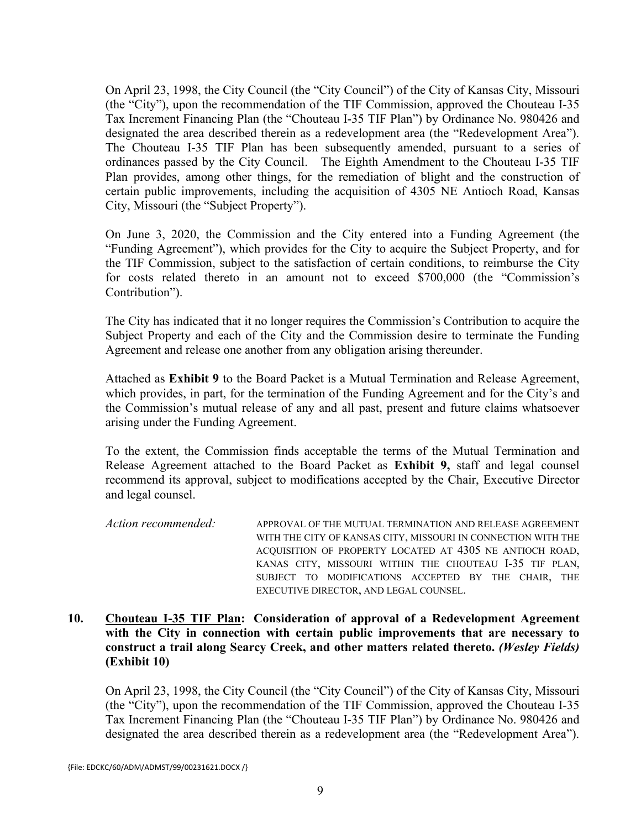On April 23, 1998, the City Council (the "City Council") of the City of Kansas City, Missouri (the "City"), upon the recommendation of the TIF Commission, approved the Chouteau I-35 Tax Increment Financing Plan (the "Chouteau I-35 TIF Plan") by Ordinance No. 980426 and designated the area described therein as a redevelopment area (the "Redevelopment Area"). The Chouteau I-35 TIF Plan has been subsequently amended, pursuant to a series of ordinances passed by the City Council. The Eighth Amendment to the Chouteau I-35 TIF Plan provides, among other things, for the remediation of blight and the construction of certain public improvements, including the acquisition of 4305 NE Antioch Road, Kansas City, Missouri (the "Subject Property").

On June 3, 2020, the Commission and the City entered into a Funding Agreement (the "Funding Agreement"), which provides for the City to acquire the Subject Property, and for the TIF Commission, subject to the satisfaction of certain conditions, to reimburse the City for costs related thereto in an amount not to exceed \$700,000 (the "Commission's Contribution").

The City has indicated that it no longer requires the Commission's Contribution to acquire the Subject Property and each of the City and the Commission desire to terminate the Funding Agreement and release one another from any obligation arising thereunder.

Attached as **Exhibit 9** to the Board Packet is a Mutual Termination and Release Agreement, which provides, in part, for the termination of the Funding Agreement and for the City's and the Commission's mutual release of any and all past, present and future claims whatsoever arising under the Funding Agreement.

To the extent, the Commission finds acceptable the terms of the Mutual Termination and Release Agreement attached to the Board Packet as **Exhibit 9,** staff and legal counsel recommend its approval, subject to modifications accepted by the Chair, Executive Director and legal counsel.

*Action recommended:* APPROVAL OF THE MUTUAL TERMINATION AND RELEASE AGREEMENT WITH THE CITY OF KANSAS CITY, MISSOURI IN CONNECTION WITH THE ACQUISITION OF PROPERTY LOCATED AT 4305 NE ANTIOCH ROAD, KANAS CITY, MISSOURI WITHIN THE CHOUTEAU I-35 TIF PLAN, SUBJECT TO MODIFICATIONS ACCEPTED BY THE CHAIR, THE EXECUTIVE DIRECTOR, AND LEGAL COUNSEL.

### **10. Chouteau I-35 TIF Plan: Consideration of approval of a Redevelopment Agreement with the City in connection with certain public improvements that are necessary to construct a trail along Searcy Creek, and other matters related thereto.** *(Wesley Fields)* **(Exhibit 10)**

On April 23, 1998, the City Council (the "City Council") of the City of Kansas City, Missouri (the "City"), upon the recommendation of the TIF Commission, approved the Chouteau I-35 Tax Increment Financing Plan (the "Chouteau I-35 TIF Plan") by Ordinance No. 980426 and designated the area described therein as a redevelopment area (the "Redevelopment Area").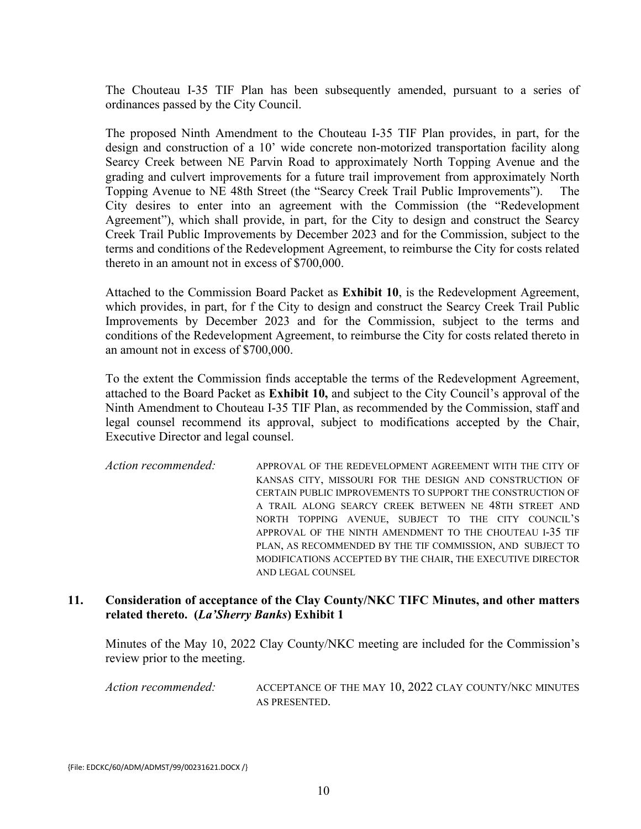The Chouteau I-35 TIF Plan has been subsequently amended, pursuant to a series of ordinances passed by the City Council.

The proposed Ninth Amendment to the Chouteau I-35 TIF Plan provides, in part, for the design and construction of a 10' wide concrete non-motorized transportation facility along Searcy Creek between NE Parvin Road to approximately North Topping Avenue and the grading and culvert improvements for a future trail improvement from approximately North Topping Avenue to NE 48th Street (the "Searcy Creek Trail Public Improvements"). City desires to enter into an agreement with the Commission (the "Redevelopment Agreement"), which shall provide, in part, for the City to design and construct the Searcy Creek Trail Public Improvements by December 2023 and for the Commission, subject to the terms and conditions of the Redevelopment Agreement, to reimburse the City for costs related thereto in an amount not in excess of \$700,000.

Attached to the Commission Board Packet as **Exhibit 10**, is the Redevelopment Agreement, which provides, in part, for f the City to design and construct the Searcy Creek Trail Public Improvements by December 2023 and for the Commission, subject to the terms and conditions of the Redevelopment Agreement, to reimburse the City for costs related thereto in an amount not in excess of \$700,000.

To the extent the Commission finds acceptable the terms of the Redevelopment Agreement, attached to the Board Packet as **Exhibit 10,** and subject to the City Council's approval of the Ninth Amendment to Chouteau I-35 TIF Plan, as recommended by the Commission, staff and legal counsel recommend its approval, subject to modifications accepted by the Chair, Executive Director and legal counsel.

*Action recommended:* APPROVAL OF THE REDEVELOPMENT AGREEMENT WITH THE CITY OF KANSAS CITY, MISSOURI FOR THE DESIGN AND CONSTRUCTION OF CERTAIN PUBLIC IMPROVEMENTS TO SUPPORT THE CONSTRUCTION OF A TRAIL ALONG SEARCY CREEK BETWEEN NE 48TH STREET AND NORTH TOPPING AVENUE, SUBJECT TO THE CITY COUNCIL'S APPROVAL OF THE NINTH AMENDMENT TO THE CHOUTEAU I-35 TIF PLAN, AS RECOMMENDED BY THE TIF COMMISSION, AND SUBJECT TO MODIFICATIONS ACCEPTED BY THE CHAIR, THE EXECUTIVE DIRECTOR AND LEGAL COUNSEL

#### **11. Consideration of acceptance of the Clay County/NKC TIFC Minutes, and other matters related thereto. (***La'Sherry Banks***) Exhibit 1**

Minutes of the May 10, 2022 Clay County/NKC meeting are included for the Commission's review prior to the meeting.

*Action recommended:* ACCEPTANCE OF THE MAY 10, 2022 CLAY COUNTY/NKC MINUTES AS PRESENTED.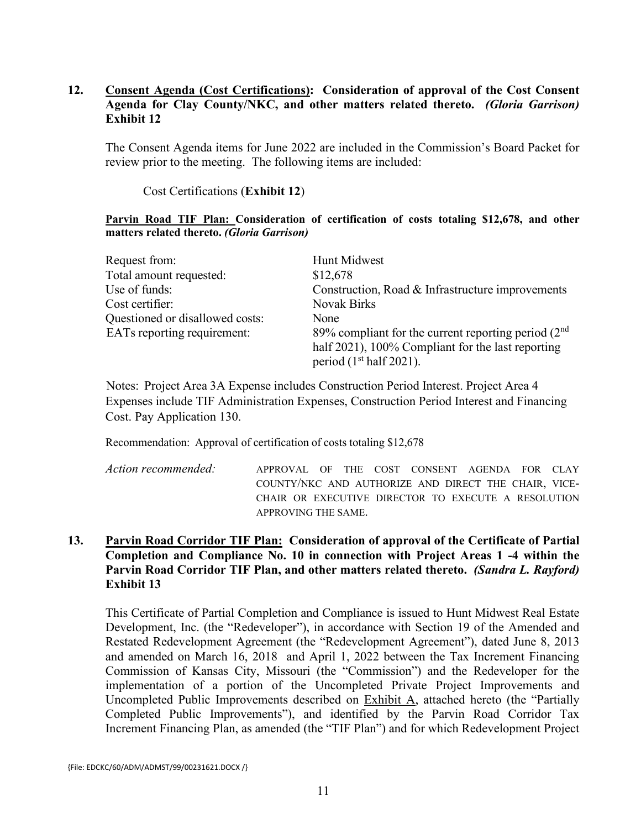### **12. Consent Agenda (Cost Certifications): Consideration of approval of the Cost Consent Agenda for Clay County/NKC, and other matters related thereto.** *(Gloria Garrison)* **Exhibit 12**

The Consent Agenda items for June 2022 are included in the Commission's Board Packet for review prior to the meeting. The following items are included:

Cost Certifications (**Exhibit 12**)

#### **Parvin Road TIF Plan: Consideration of certification of costs totaling \$12,678, and other matters related thereto.** *(Gloria Garrison)*

| Request from:                   | Hunt Midwest                                          |
|---------------------------------|-------------------------------------------------------|
| Total amount requested:         | \$12,678                                              |
| Use of funds:                   | Construction, Road & Infrastructure improvements      |
| Cost certifier:                 | <b>Novak Birks</b>                                    |
| Questioned or disallowed costs: | None                                                  |
| EATs reporting requirement:     | 89% compliant for the current reporting period $(2nd$ |
|                                 | half 2021), 100% Compliant for the last reporting     |
|                                 | period $(1st half 2021)$ .                            |

Notes: Project Area 3A Expense includes Construction Period Interest. Project Area 4 Expenses include TIF Administration Expenses, Construction Period Interest and Financing Cost. Pay Application 130.

Recommendation: Approval of certification of costs totaling \$12,678

*Action recommended:* APPROVAL OF THE COST CONSENT AGENDA FOR CLAY COUNTY/NKC AND AUTHORIZE AND DIRECT THE CHAIR, VICE-CHAIR OR EXECUTIVE DIRECTOR TO EXECUTE A RESOLUTION APPROVING THE SAME.

### **13. Parvin Road Corridor TIF Plan: Consideration of approval of the Certificate of Partial Completion and Compliance No. 10 in connection with Project Areas 1 -4 within the Parvin Road Corridor TIF Plan, and other matters related thereto.** *(Sandra L. Rayford)*  **Exhibit 13**

This Certificate of Partial Completion and Compliance is issued to Hunt Midwest Real Estate Development, Inc. (the "Redeveloper"), in accordance with Section 19 of the Amended and Restated Redevelopment Agreement (the "Redevelopment Agreement"), dated June 8, 2013 and amended on March 16, 2018 and April 1, 2022 between the Tax Increment Financing Commission of Kansas City, Missouri (the "Commission") and the Redeveloper for the implementation of a portion of the Uncompleted Private Project Improvements and Uncompleted Public Improvements described on Exhibit A, attached hereto (the "Partially Completed Public Improvements"), and identified by the Parvin Road Corridor Tax Increment Financing Plan, as amended (the "TIF Plan") and for which Redevelopment Project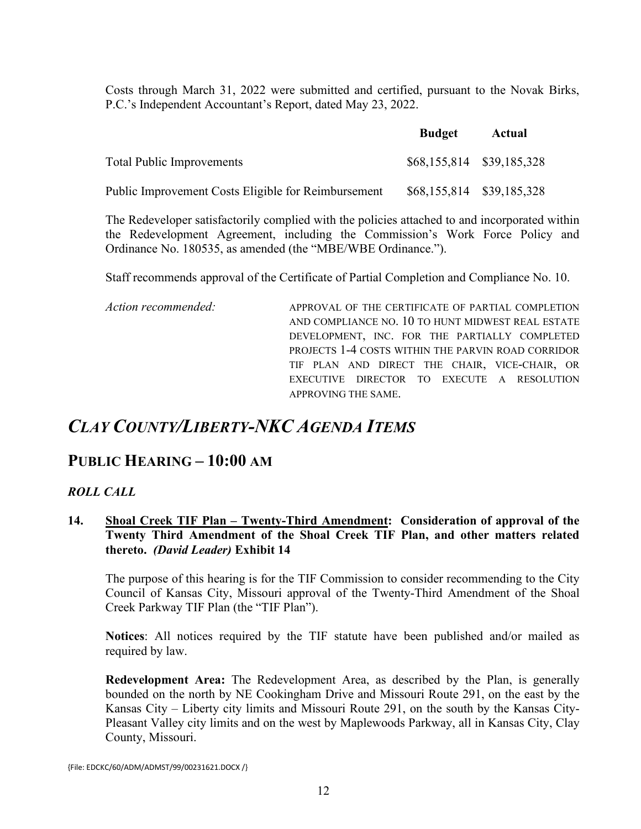Costs through March 31, 2022 were submitted and certified, pursuant to the Novak Birks, P.C.'s Independent Accountant's Report, dated May 23, 2022.

|                                                     | <b>Budget</b> | Actual                    |
|-----------------------------------------------------|---------------|---------------------------|
| <b>Total Public Improvements</b>                    |               | \$68,155,814 \$39,185,328 |
| Public Improvement Costs Eligible for Reimbursement |               | \$68,155,814 \$39,185,328 |

The Redeveloper satisfactorily complied with the policies attached to and incorporated within the Redevelopment Agreement, including the Commission's Work Force Policy and Ordinance No. 180535, as amended (the "MBE/WBE Ordinance.").

Staff recommends approval of the Certificate of Partial Completion and Compliance No. 10.

*Action recommended:* APPROVAL OF THE CERTIFICATE OF PARTIAL COMPLETION AND COMPLIANCE NO. 10 TO HUNT MIDWEST REAL ESTATE DEVELOPMENT, INC. FOR THE PARTIALLY COMPLETED PROJECTS 1-4 COSTS WITHIN THE PARVIN ROAD CORRIDOR TIF PLAN AND DIRECT THE CHAIR, VICE-CHAIR, OR EXECUTIVE DIRECTOR TO EXECUTE A RESOLUTION APPROVING THE SAME.

## *CLAY COUNTY/LIBERTY-NKC AGENDA ITEMS*

### **PUBLIC HEARING – 10:00 AM**

### *ROLL CALL*

### **14. Shoal Creek TIF Plan – Twenty-Third Amendment: Consideration of approval of the Twenty Third Amendment of the Shoal Creek TIF Plan, and other matters related thereto.** *(David Leader)* **Exhibit 14**

The purpose of this hearing is for the TIF Commission to consider recommending to the City Council of Kansas City, Missouri approval of the Twenty-Third Amendment of the Shoal Creek Parkway TIF Plan (the "TIF Plan").

**Notices**: All notices required by the TIF statute have been published and/or mailed as required by law.

**Redevelopment Area:** The Redevelopment Area, as described by the Plan, is generally bounded on the north by NE Cookingham Drive and Missouri Route 291, on the east by the Kansas City – Liberty city limits and Missouri Route 291, on the south by the Kansas City-Pleasant Valley city limits and on the west by Maplewoods Parkway, all in Kansas City, Clay County, Missouri.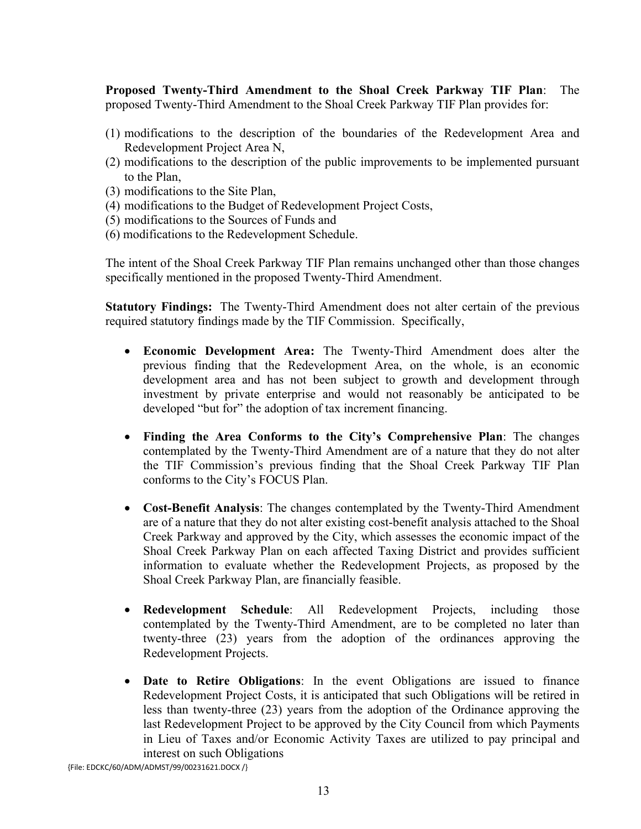**Proposed Twenty-Third Amendment to the Shoal Creek Parkway TIF Plan**: The proposed Twenty-Third Amendment to the Shoal Creek Parkway TIF Plan provides for:

- (1) modifications to the description of the boundaries of the Redevelopment Area and Redevelopment Project Area N,
- (2) modifications to the description of the public improvements to be implemented pursuant to the Plan,
- (3) modifications to the Site Plan,
- (4) modifications to the Budget of Redevelopment Project Costs,
- (5) modifications to the Sources of Funds and
- (6) modifications to the Redevelopment Schedule.

The intent of the Shoal Creek Parkway TIF Plan remains unchanged other than those changes specifically mentioned in the proposed Twenty-Third Amendment.

**Statutory Findings:** The Twenty-Third Amendment does not alter certain of the previous required statutory findings made by the TIF Commission. Specifically,

- **Economic Development Area:** The Twenty-Third Amendment does alter the previous finding that the Redevelopment Area, on the whole, is an economic development area and has not been subject to growth and development through investment by private enterprise and would not reasonably be anticipated to be developed "but for" the adoption of tax increment financing.
- **Finding the Area Conforms to the City's Comprehensive Plan**: The changes contemplated by the Twenty-Third Amendment are of a nature that they do not alter the TIF Commission's previous finding that the Shoal Creek Parkway TIF Plan conforms to the City's FOCUS Plan.
- **Cost-Benefit Analysis**: The changes contemplated by the Twenty-Third Amendment are of a nature that they do not alter existing cost-benefit analysis attached to the Shoal Creek Parkway and approved by the City, which assesses the economic impact of the Shoal Creek Parkway Plan on each affected Taxing District and provides sufficient information to evaluate whether the Redevelopment Projects, as proposed by the Shoal Creek Parkway Plan, are financially feasible.
- **Redevelopment Schedule**: All Redevelopment Projects, including those contemplated by the Twenty-Third Amendment, are to be completed no later than twenty-three (23) years from the adoption of the ordinances approving the Redevelopment Projects.
- **Date to Retire Obligations**: In the event Obligations are issued to finance Redevelopment Project Costs, it is anticipated that such Obligations will be retired in less than twenty-three (23) years from the adoption of the Ordinance approving the last Redevelopment Project to be approved by the City Council from which Payments in Lieu of Taxes and/or Economic Activity Taxes are utilized to pay principal and interest on such Obligations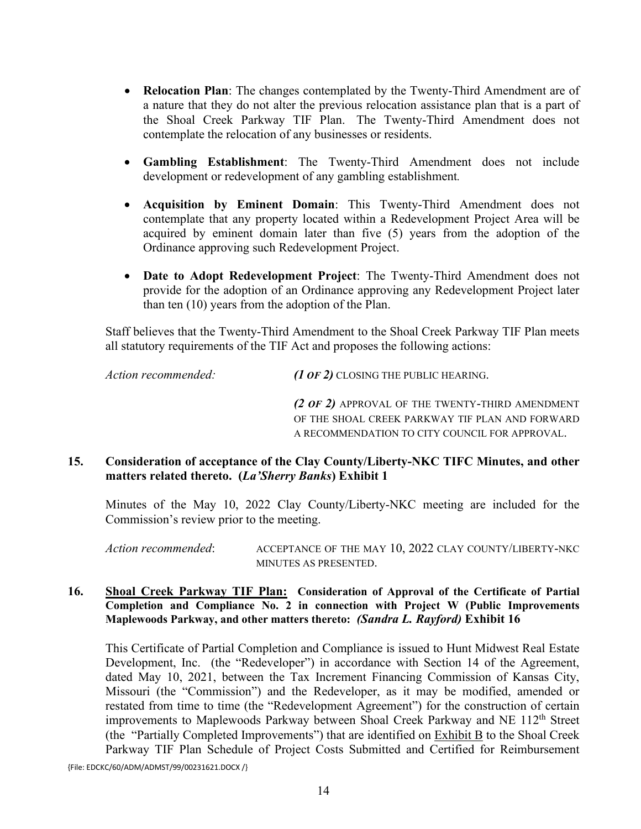- **Relocation Plan**: The changes contemplated by the Twenty-Third Amendment are of a nature that they do not alter the previous relocation assistance plan that is a part of the Shoal Creek Parkway TIF Plan. The Twenty-Third Amendment does not contemplate the relocation of any businesses or residents.
- **Gambling Establishment**: The Twenty-Third Amendment does not include development or redevelopment of any gambling establishment*.*
- **Acquisition by Eminent Domain**: This Twenty-Third Amendment does not contemplate that any property located within a Redevelopment Project Area will be acquired by eminent domain later than five (5) years from the adoption of the Ordinance approving such Redevelopment Project.
- **Date to Adopt Redevelopment Project**: The Twenty-Third Amendment does not provide for the adoption of an Ordinance approving any Redevelopment Project later than ten (10) years from the adoption of the Plan.

Staff believes that the Twenty-Third Amendment to the Shoal Creek Parkway TIF Plan meets all statutory requirements of the TIF Act and proposes the following actions:

*Action recommended: (1 OF 2)* CLOSING THE PUBLIC HEARING.

*(2 OF 2)* APPROVAL OF THE TWENTY-THIRD AMENDMENT OF THE SHOAL CREEK PARKWAY TIF PLAN AND FORWARD A RECOMMENDATION TO CITY COUNCIL FOR APPROVAL.

### **15. Consideration of acceptance of the Clay County/Liberty-NKC TIFC Minutes, and other matters related thereto. (***La'Sherry Banks***) Exhibit 1**

Minutes of the May 10, 2022 Clay County/Liberty-NKC meeting are included for the Commission's review prior to the meeting.

*Action recommended*: ACCEPTANCE OF THE MAY 10, 2022 CLAY COUNTY/LIBERTY-NKC MINUTES AS PRESENTED.

#### **16. Shoal Creek Parkway TIF Plan: Consideration of Approval of the Certificate of Partial Completion and Compliance No. 2 in connection with Project W (Public Improvements Maplewoods Parkway, and other matters thereto:** *(Sandra L. Rayford)* **Exhibit 16**

This Certificate of Partial Completion and Compliance is issued to Hunt Midwest Real Estate Development, Inc. (the "Redeveloper") in accordance with Section 14 of the Agreement, dated May 10, 2021, between the Tax Increment Financing Commission of Kansas City, Missouri (the "Commission") and the Redeveloper, as it may be modified, amended or restated from time to time (the "Redevelopment Agreement") for the construction of certain improvements to Maplewoods Parkway between Shoal Creek Parkway and NE 112<sup>th</sup> Street (the "Partially Completed Improvements") that are identified on Exhibit B to the Shoal Creek Parkway TIF Plan Schedule of Project Costs Submitted and Certified for Reimbursement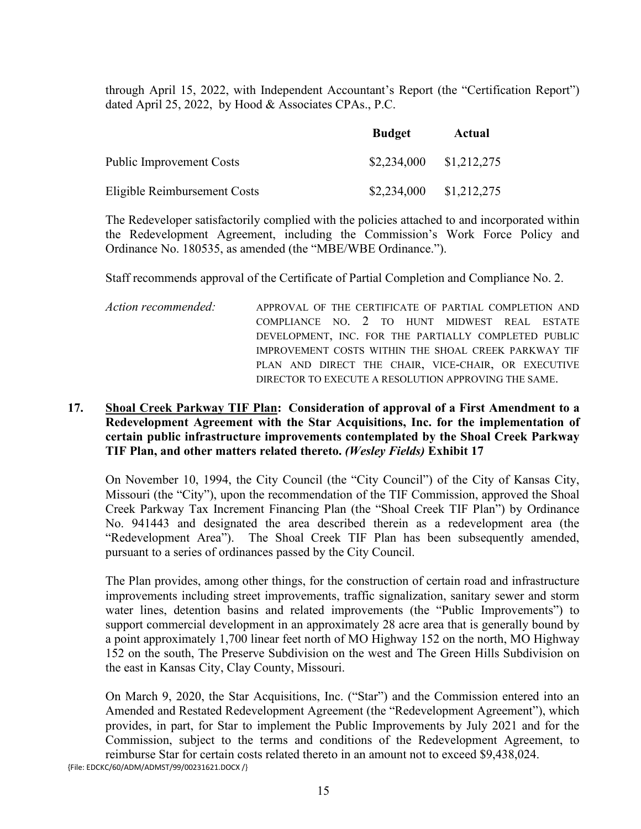through April 15, 2022, with Independent Accountant's Report (the "Certification Report") dated April 25, 2022, by Hood & Associates CPAs., P.C.

|                              | <b>Budget</b>             | Actual      |
|------------------------------|---------------------------|-------------|
| Public Improvement Costs     | $$2,234,000$ $$1,212,275$ |             |
| Eligible Reimbursement Costs | \$2,234,000               | \$1,212,275 |

The Redeveloper satisfactorily complied with the policies attached to and incorporated within the Redevelopment Agreement, including the Commission's Work Force Policy and Ordinance No. 180535, as amended (the "MBE/WBE Ordinance.").

Staff recommends approval of the Certificate of Partial Completion and Compliance No. 2.

*Action recommended:* APPROVAL OF THE CERTIFICATE OF PARTIAL COMPLETION AND COMPLIANCE NO. 2 TO HUNT MIDWEST REAL ESTATE DEVELOPMENT, INC. FOR THE PARTIALLY COMPLETED PUBLIC IMPROVEMENT COSTS WITHIN THE SHOAL CREEK PARKWAY TIF PLAN AND DIRECT THE CHAIR, VICE-CHAIR, OR EXECUTIVE DIRECTOR TO EXECUTE A RESOLUTION APPROVING THE SAME.

### **17. Shoal Creek Parkway TIF Plan: Consideration of approval of a First Amendment to a Redevelopment Agreement with the Star Acquisitions, Inc. for the implementation of certain public infrastructure improvements contemplated by the Shoal Creek Parkway TIF Plan, and other matters related thereto.** *(Wesley Fields)* **Exhibit 17**

On November 10, 1994, the City Council (the "City Council") of the City of Kansas City, Missouri (the "City"), upon the recommendation of the TIF Commission, approved the Shoal Creek Parkway Tax Increment Financing Plan (the "Shoal Creek TIF Plan") by Ordinance No. 941443 and designated the area described therein as a redevelopment area (the "Redevelopment Area"). The Shoal Creek TIF Plan has been subsequently amended, pursuant to a series of ordinances passed by the City Council.

The Plan provides, among other things, for the construction of certain road and infrastructure improvements including street improvements, traffic signalization, sanitary sewer and storm water lines, detention basins and related improvements (the "Public Improvements") to support commercial development in an approximately 28 acre area that is generally bound by a point approximately 1,700 linear feet north of MO Highway 152 on the north, MO Highway 152 on the south, The Preserve Subdivision on the west and The Green Hills Subdivision on the east in Kansas City, Clay County, Missouri.

On March 9, 2020, the Star Acquisitions, Inc. ("Star") and the Commission entered into an Amended and Restated Redevelopment Agreement (the "Redevelopment Agreement"), which provides, in part, for Star to implement the Public Improvements by July 2021 and for the Commission, subject to the terms and conditions of the Redevelopment Agreement, to reimburse Star for certain costs related thereto in an amount not to exceed \$9,438,024.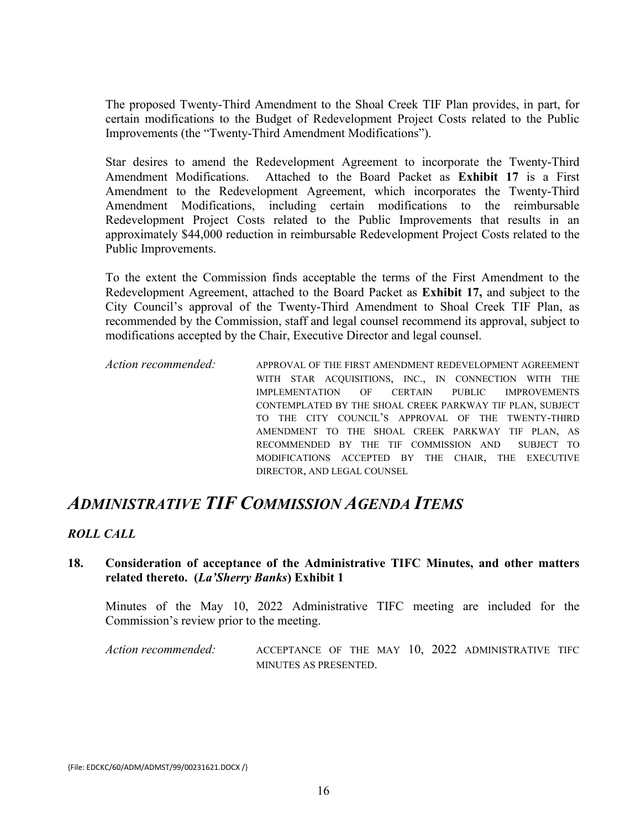The proposed Twenty-Third Amendment to the Shoal Creek TIF Plan provides, in part, for certain modifications to the Budget of Redevelopment Project Costs related to the Public Improvements (the "Twenty-Third Amendment Modifications").

Star desires to amend the Redevelopment Agreement to incorporate the Twenty-Third Amendment Modifications. Attached to the Board Packet as **Exhibit 17** is a First Amendment to the Redevelopment Agreement, which incorporates the Twenty-Third Amendment Modifications, including certain modifications to the reimbursable Redevelopment Project Costs related to the Public Improvements that results in an approximately \$44,000 reduction in reimbursable Redevelopment Project Costs related to the Public Improvements.

To the extent the Commission finds acceptable the terms of the First Amendment to the Redevelopment Agreement, attached to the Board Packet as **Exhibit 17,** and subject to the City Council's approval of the Twenty-Third Amendment to Shoal Creek TIF Plan, as recommended by the Commission, staff and legal counsel recommend its approval, subject to modifications accepted by the Chair, Executive Director and legal counsel.

*Action recommended:* APPROVAL OF THE FIRST AMENDMENT REDEVELOPMENT AGREEMENT WITH STAR ACQUISITIONS, INC., IN CONNECTION WITH THE IMPLEMENTATION OF CERTAIN PUBLIC IMPROVEMENTS CONTEMPLATED BY THE SHOAL CREEK PARKWAY TIF PLAN, SUBJECT TO THE CITY COUNCIL'S APPROVAL OF THE TWENTY-THIRD AMENDMENT TO THE SHOAL CREEK PARKWAY TIF PLAN, AS RECOMMENDED BY THE TIF COMMISSION AND SUBJECT TO MODIFICATIONS ACCEPTED BY THE CHAIR, THE EXECUTIVE DIRECTOR, AND LEGAL COUNSEL

### *ADMINISTRATIVE TIF COMMISSION AGENDA ITEMS*

### *ROLL CALL*

### **18. Consideration of acceptance of the Administrative TIFC Minutes, and other matters related thereto. (***La'Sherry Banks***) Exhibit 1**

Minutes of the May 10, 2022 Administrative TIFC meeting are included for the Commission's review prior to the meeting.

*Action recommended:* ACCEPTANCE OF THE MAY 10, 2022 ADMINISTRATIVE TIFC MINUTES AS PRESENTED.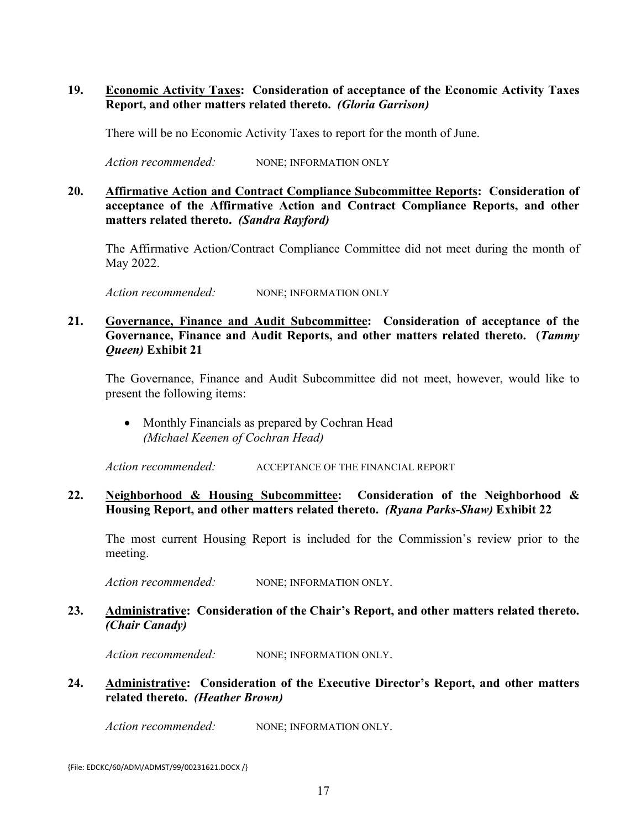### **19. Economic Activity Taxes: Consideration of acceptance of the Economic Activity Taxes Report, and other matters related thereto.** *(Gloria Garrison)*

There will be no Economic Activity Taxes to report for the month of June.

*Action recommended:* NONE; INFORMATION ONLY

### **20. Affirmative Action and Contract Compliance Subcommittee Reports: Consideration of acceptance of the Affirmative Action and Contract Compliance Reports, and other matters related thereto.** *(Sandra Rayford)*

The Affirmative Action/Contract Compliance Committee did not meet during the month of May 2022.

Action recommended: NONE; INFORMATION ONLY

### **21. Governance, Finance and Audit Subcommittee: Consideration of acceptance of the Governance, Finance and Audit Reports, and other matters related thereto. (***Tammy Queen)* **Exhibit 21**

The Governance, Finance and Audit Subcommittee did not meet, however, would like to present the following items:

• Monthly Financials as prepared by Cochran Head *(Michael Keenen of Cochran Head)*

Action recommended: ACCEPTANCE OF THE FINANCIAL REPORT

### **22. Neighborhood & Housing Subcommittee: Consideration of the Neighborhood & Housing Report, and other matters related thereto.** *(Ryana Parks-Shaw)* **Exhibit 22**

The most current Housing Report is included for the Commission's review prior to the meeting.

Action recommended: NONE; INFORMATION ONLY.

### **23. Administrative: Consideration of the Chair's Report, and other matters related thereto.**  *(Chair Canady)*

*Action recommended:* NONE; INFORMATION ONLY.

### **24. Administrative: Consideration of the Executive Director's Report, and other matters related thereto.** *(Heather Brown)*

Action recommended: NONE; INFORMATION ONLY.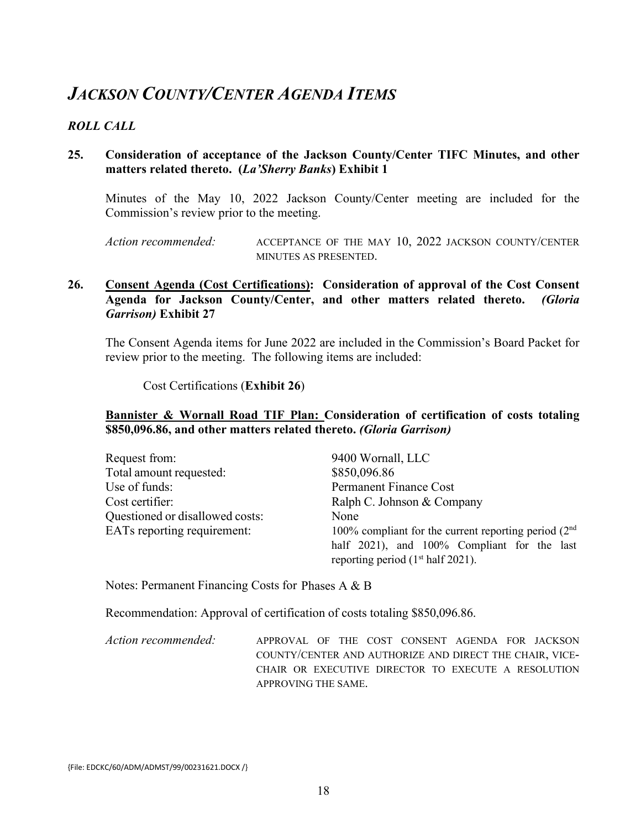## *JACKSON COUNTY/CENTER AGENDA ITEMS*

### *ROLL CALL*

### **25. Consideration of acceptance of the Jackson County/Center TIFC Minutes, and other matters related thereto. (***La'Sherry Banks***) Exhibit 1**

Minutes of the May 10, 2022 Jackson County/Center meeting are included for the Commission's review prior to the meeting.

Action recommended: ACCEPTANCE OF THE MAY 10, 2022 JACKSON COUNTY/CENTER MINUTES AS PRESENTED.

### **26. Consent Agenda (Cost Certifications): Consideration of approval of the Cost Consent Agenda for Jackson County/Center, and other matters related thereto.** *(Gloria Garrison)* **Exhibit 27**

The Consent Agenda items for June 2022 are included in the Commission's Board Packet for review prior to the meeting. The following items are included:

Cost Certifications (**Exhibit 26**)

### **Bannister & Wornall Road TIF Plan: Consideration of certification of costs totaling \$850,096.86, and other matters related thereto.** *(Gloria Garrison)*

| Request from:                   | 9400 Wornall, LLC                                      |  |  |
|---------------------------------|--------------------------------------------------------|--|--|
| Total amount requested:         | \$850,096.86                                           |  |  |
| Use of funds:                   | <b>Permanent Finance Cost</b>                          |  |  |
| Cost certifier:                 | Ralph C. Johnson & Company                             |  |  |
| Questioned or disallowed costs: | None                                                   |  |  |
| EATs reporting requirement:     | 100% compliant for the current reporting period $(2nd$ |  |  |
|                                 | half 2021), and 100% Compliant for the last            |  |  |
|                                 | reporting period $(1st half 2021)$ .                   |  |  |

Notes: Permanent Financing Costs for Phases A & B

Recommendation: Approval of certification of costs totaling \$850,096.86.

*Action recommended:* APPROVAL OF THE COST CONSENT AGENDA FOR JACKSON COUNTY/CENTER AND AUTHORIZE AND DIRECT THE CHAIR, VICE-CHAIR OR EXECUTIVE DIRECTOR TO EXECUTE A RESOLUTION APPROVING THE SAME.